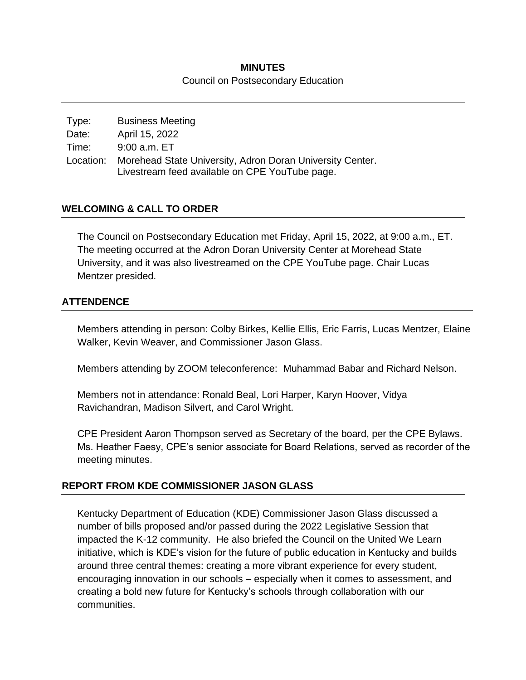### **MINUTES** Council on Postsecondary Education

| Type: | <b>Business Meeting</b>                                                                                               |
|-------|-----------------------------------------------------------------------------------------------------------------------|
| Date: | April 15, 2022                                                                                                        |
| Time: | 9:00 a.m. ET                                                                                                          |
|       | Location: Morehead State University, Adron Doran University Center.<br>Livestream feed available on CPE YouTube page. |

## **WELCOMING & CALL TO ORDER**

The Council on Postsecondary Education met Friday, April 15, 2022, at 9:00 a.m., ET. The meeting occurred at the Adron Doran University Center at Morehead State University, and it was also livestreamed on the CPE YouTube page. Chair Lucas Mentzer presided.

### **ATTENDENCE**

Members attending in person: Colby Birkes, Kellie Ellis, Eric Farris, Lucas Mentzer, Elaine Walker, Kevin Weaver, and Commissioner Jason Glass.

Members attending by ZOOM teleconference: Muhammad Babar and Richard Nelson.

Members not in attendance: Ronald Beal, Lori Harper, Karyn Hoover, Vidya Ravichandran, Madison Silvert, and Carol Wright.

CPE President Aaron Thompson served as Secretary of the board, per the CPE Bylaws. Ms. Heather Faesy, CPE's senior associate for Board Relations, served as recorder of the meeting minutes.

### **REPORT FROM KDE COMMISSIONER JASON GLASS**

Kentucky Department of Education (KDE) Commissioner Jason Glass discussed a number of bills proposed and/or passed during the 2022 Legislative Session that impacted the K-12 community. He also briefed the Council on the United We Learn initiative, which is KDE's vision for the future of public education in Kentucky and builds around three central themes: creating a more vibrant experience for every student, encouraging innovation in our schools – especially when it comes to assessment, and creating a bold new future for Kentucky's schools through collaboration with our communities.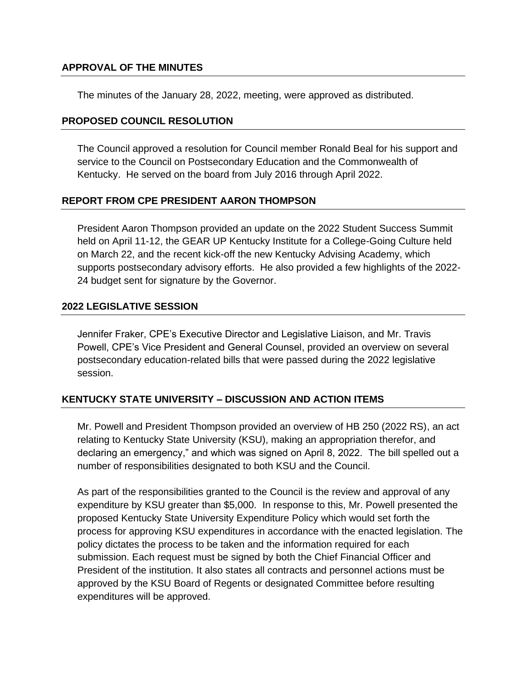### **APPROVAL OF THE MINUTES**

The minutes of the January 28, 2022, meeting, were approved as distributed.

#### **PROPOSED COUNCIL RESOLUTION**

The Council approved a resolution for Council member Ronald Beal for his support and service to the Council on Postsecondary Education and the Commonwealth of Kentucky. He served on the board from July 2016 through April 2022.

### **REPORT FROM CPE PRESIDENT AARON THOMPSON**

President Aaron Thompson provided an update on the 2022 Student Success Summit held on April 11-12, the GEAR UP Kentucky Institute for a College-Going Culture held on March 22, and the recent kick-off the new Kentucky Advising Academy, which supports postsecondary advisory efforts. He also provided a few highlights of the 2022- 24 budget sent for signature by the Governor.

#### **2022 LEGISLATIVE SESSION**

Jennifer Fraker, CPE's Executive Director and Legislative Liaison, and Mr. Travis Powell, CPE's Vice President and General Counsel, provided an overview on several postsecondary education-related bills that were passed during the 2022 legislative session.

### **KENTUCKY STATE UNIVERSITY – DISCUSSION AND ACTION ITEMS**

Mr. Powell and President Thompson provided an overview of HB 250 (2022 RS), an act relating to Kentucky State University (KSU), making an appropriation therefor, and declaring an emergency," and which was signed on April 8, 2022. The bill spelled out a number of responsibilities designated to both KSU and the Council.

As part of the responsibilities granted to the Council is the review and approval of any expenditure by KSU greater than \$5,000. In response to this, Mr. Powell presented the proposed Kentucky State University Expenditure Policy which would set forth the process for approving KSU expenditures in accordance with the enacted legislation. The policy dictates the process to be taken and the information required for each submission. Each request must be signed by both the Chief Financial Officer and President of the institution. It also states all contracts and personnel actions must be approved by the KSU Board of Regents or designated Committee before resulting expenditures will be approved.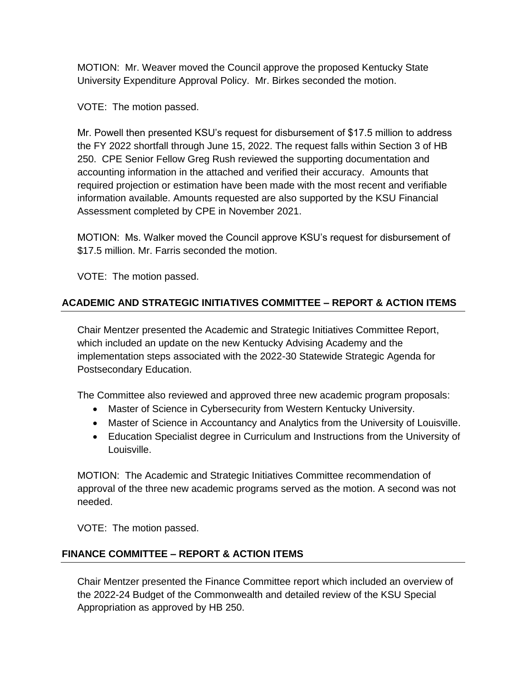MOTION: Mr. Weaver moved the Council approve the proposed Kentucky State University Expenditure Approval Policy. Mr. Birkes seconded the motion.

VOTE: The motion passed.

Mr. Powell then presented KSU's request for disbursement of \$17.5 million to address the FY 2022 shortfall through June 15, 2022. The request falls within Section 3 of HB 250. CPE Senior Fellow Greg Rush reviewed the supporting documentation and accounting information in the attached and verified their accuracy. Amounts that required projection or estimation have been made with the most recent and verifiable information available. Amounts requested are also supported by the KSU Financial Assessment completed by CPE in November 2021.

MOTION: Ms. Walker moved the Council approve KSU's request for disbursement of \$17.5 million. Mr. Farris seconded the motion.

VOTE: The motion passed.

# **ACADEMIC AND STRATEGIC INITIATIVES COMMITTEE – REPORT & ACTION ITEMS**

Chair Mentzer presented the Academic and Strategic Initiatives Committee Report, which included an update on the new Kentucky Advising Academy and the implementation steps associated with the 2022-30 Statewide Strategic Agenda for Postsecondary Education.

The Committee also reviewed and approved three new academic program proposals:

- Master of Science in Cybersecurity from Western Kentucky University.
- Master of Science in Accountancy and Analytics from the University of Louisville.
- Education Specialist degree in Curriculum and Instructions from the University of Louisville.

MOTION: The Academic and Strategic Initiatives Committee recommendation of approval of the three new academic programs served as the motion. A second was not needed.

VOTE: The motion passed.

# **FINANCE COMMITTEE – REPORT & ACTION ITEMS**

Chair Mentzer presented the Finance Committee report which included an overview of the 2022-24 Budget of the Commonwealth and detailed review of the KSU Special Appropriation as approved by HB 250.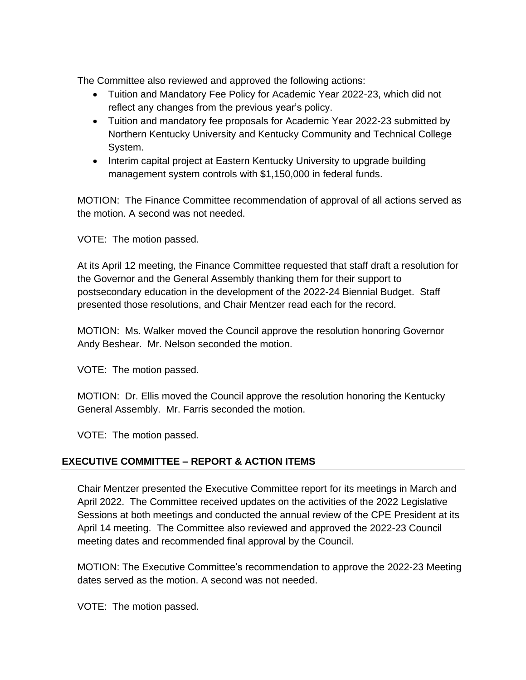The Committee also reviewed and approved the following actions:

- Tuition and Mandatory Fee Policy for Academic Year 2022-23, which did not reflect any changes from the previous year's policy.
- Tuition and mandatory fee proposals for Academic Year 2022-23 submitted by Northern Kentucky University and Kentucky Community and Technical College System.
- Interim capital project at Eastern Kentucky University to upgrade building management system controls with \$1,150,000 in federal funds.

MOTION: The Finance Committee recommendation of approval of all actions served as the motion. A second was not needed.

VOTE: The motion passed.

At its April 12 meeting, the Finance Committee requested that staff draft a resolution for the Governor and the General Assembly thanking them for their support to postsecondary education in the development of the 2022-24 Biennial Budget. Staff presented those resolutions, and Chair Mentzer read each for the record.

MOTION: Ms. Walker moved the Council approve the resolution honoring Governor Andy Beshear. Mr. Nelson seconded the motion.

VOTE: The motion passed.

MOTION: Dr. Ellis moved the Council approve the resolution honoring the Kentucky General Assembly. Mr. Farris seconded the motion.

VOTE: The motion passed.

# **EXECUTIVE COMMITTEE – REPORT & ACTION ITEMS**

Chair Mentzer presented the Executive Committee report for its meetings in March and April 2022. The Committee received updates on the activities of the 2022 Legislative Sessions at both meetings and conducted the annual review of the CPE President at its April 14 meeting. The Committee also reviewed and approved the 2022-23 Council meeting dates and recommended final approval by the Council.

MOTION: The Executive Committee's recommendation to approve the 2022-23 Meeting dates served as the motion. A second was not needed.

VOTE: The motion passed.